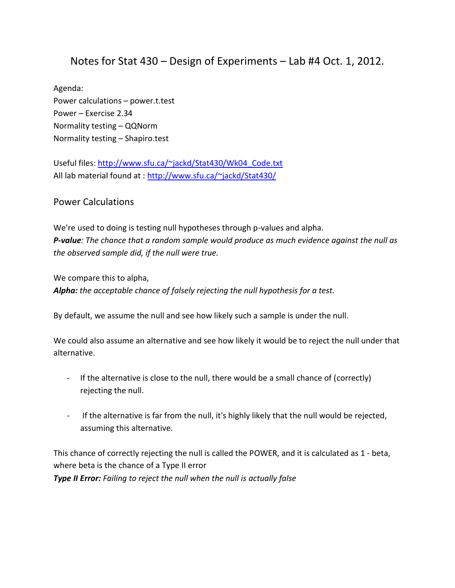## Notes for Stat 430 – Design of Experiments – Lab #4 Oct. 1, 2012.

Agenda: Power calculations – power.t.test Power – Exercise 2.34 Normality testing – QQNorm Normality testing – Shapiro.test

Useful files: [http://www.sfu.ca/~jackd/Stat430/Wk04\\_Code.txt](http://www.sfu.ca/~jackd/Stat430/Wk04_Code.txt) All lab material found at :<http://www.sfu.ca/~jackd/Stat430/>

## Power Calculations

We're used to doing is testing null hypotheses through p-values and alpha. *P-value: The chance that a random sample would produce as much evidence against the null as the observed sample did, if the null were true.*

We compare this to alpha, *Alpha: the acceptable chance of falsely rejecting the null hypothesis for a test.*

By default, we assume the null and see how likely such a sample is under the null.

We could also assume an alternative and see how likely it would be to reject the null under that alternative.

- If the alternative is close to the null, there would be a small chance of (correctly) rejecting the null.
- If the alternative is far from the null, it's highly likely that the null would be rejected, assuming this alternative.

This chance of correctly rejecting the null is called the POWER, and it is calculated as 1 - beta, where beta is the chance of a Type II error *Type II Error: Failing to reject the null when the null is actually false*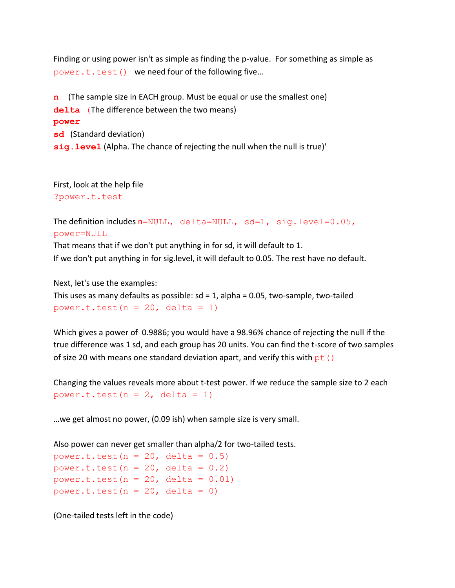Finding or using power isn't as simple as finding the p-value. For something as simple as power.t.test() we need four of the following five...

**n** (The sample size in EACH group. Must be equal or use the smallest one) delta (The difference between the two means) **power sd** (Standard deviation) **sig.level** (Alpha. The chance of rejecting the null when the null is true)'

First, look at the help file ?power.t.test

```
The definition includes n=NULL, delta=NULL, sd=1, sig.level=0.05,
power=NULL
```
That means that if we don't put anything in for sd, it will default to 1. If we don't put anything in for sig.level, it will default to 0.05. The rest have no default.

Next, let's use the examples:

This uses as many defaults as possible:  $sd = 1$ , alpha = 0.05, two-sample, two-tailed power.t.test( $n = 20$ , delta = 1)

Which gives a power of 0.9886; you would have a 98.96% chance of rejecting the null if the true difference was 1 sd, and each group has 20 units. You can find the t-score of two samples of size 20 with means one standard deviation apart, and verify this with  $pt()$ 

Changing the values reveals more about t-test power. If we reduce the sample size to 2 each power.t.test( $n = 2$ , delta = 1)

…we get almost no power, (0.09 ish) when sample size is very small.

Also power can never get smaller than alpha/2 for two-tailed tests. power.t.test( $n = 20$ , delta =  $0.5$ ) power.t.test( $n = 20$ , delta = 0.2) power.t.test( $n = 20$ , delta =  $0.01$ )

power.t.test( $n = 20$ , delta = 0)

(One-tailed tests left in the code)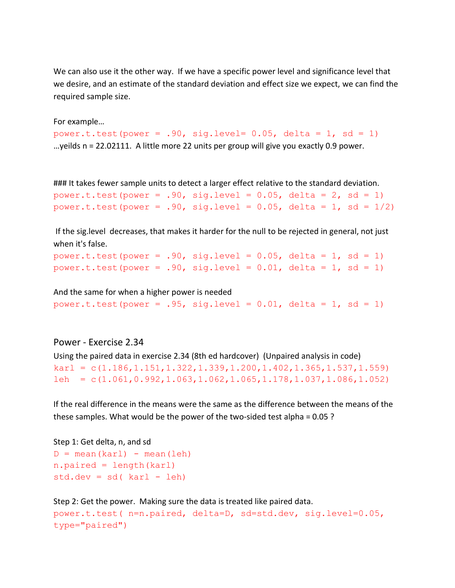We can also use it the other way. If we have a specific power level and significance level that we desire, and an estimate of the standard deviation and effect size we expect, we can find the required sample size.

```
For example…
power.t.test(power = .90, sig.level= 0.05, delta = 1, sd = 1)
…yeilds n = 22.02111. A little more 22 units per group will give you exactly 0.9 power.
```
### It takes fewer sample units to detect a larger effect relative to the standard deviation. power.t.test(power = .90, sig.level =  $0.05$ , delta =  $2$ , sd = 1) power.t.test(power = .90, sig.level =  $0.05$ , delta = 1, sd =  $1/2$ )

If the sig.level decreases, that makes it harder for the null to be rejected in general, not just when it's false.

```
power.t.test(power = .90, sig.level = 0.05, delta = 1, sd = 1)
power.t.test(power = .90, sig.level = 0.01, delta = 1, sd = 1)
```
And the same for when a higher power is needed power.t.test(power = .95, sig.level =  $0.01$ , delta = 1, sd = 1)

Power - Exercise 2.34 Using the paired data in exercise 2.34 (8th ed hardcover) (Unpaired analysis in code)  $karl = c(1.186, 1.151, 1.322, 1.339, 1.200, 1.402, 1.365, 1.537, 1.559)$  $\text{leh} = \text{c}(1.061, 0.992, 1.063, 1.062, 1.065, 1.178, 1.037, 1.086, 1.052)$ 

If the real difference in the means were the same as the difference between the means of the these samples. What would be the power of the two-sided test alpha = 0.05 ?

Step 1: Get delta, n, and sd  $D = \text{mean}(kar1) - \text{mean}(1eh)$ n.paired = length(karl)  $std.dev = sd(karl - leh)$ 

Step 2: Get the power. Making sure the data is treated like paired data. power.t.test( n=n.paired, delta=D, sd=std.dev, sig.level=0.05, type="paired")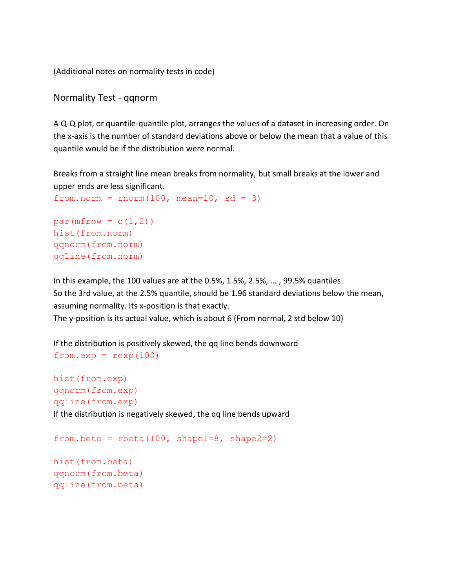(Additional notes on normality tests in code)

Normality Test - qqnorm

A Q-Q plot, or quantile-quantile plot, arranges the values of a dataset in increasing order. On the x-axis is the number of standard deviations above or below the mean that a value of this quantile would be if the distribution were normal.

Breaks from a straight line mean breaks from normality, but small breaks at the lower and upper ends are less significant.

```
from.norm = rnorm(100, mean=10, sd = 3)
par(mfrow = c(1,2))
hist(from.norm)
```
qqnorm(from.norm) qqline(from.norm)

qqline(from.beta)

In this example, the 100 values are at the 0.5%, 1.5%, 2.5%, ... , 99.5% quantiles. So the 3rd value, at the 2.5% quantile, should be 1.96 standard deviations below the mean, assuming normality. Its x-position is that exactly.

The y-position is its actual value, which is about 6 (From normal, 2 std below 10)

If the distribution is positively skewed, the qq line bends downward  $fromexp = rexp(100)$ 

```
hist(from.exp)
qqnorm(from.exp)
qqline(from.exp)
If the distribution is negatively skewed, the qq line bends upward
```

```
from.beta = rbeta(100, shape1=8, shape2=2)hist(from.beta)
qqnorm(from.beta)
```